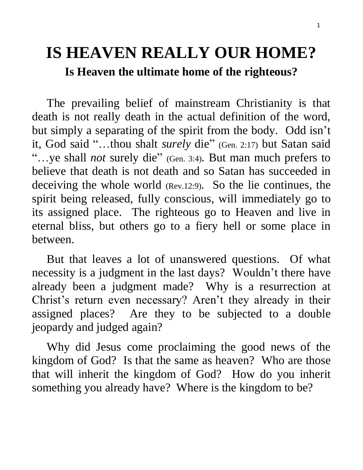# **IS HEAVEN REALLY OUR HOME? Is Heaven the ultimate home of the righteous?**

 The prevailing belief of mainstream Christianity is that death is not really death in the actual definition of the word, but simply a separating of the spirit from the body. Odd isn't it, God said "…thou shalt *surely* die" (Gen. 2:17) but Satan said "…ye shall *not* surely die" (Gen. 3:4). But man much prefers to believe that death is not death and so Satan has succeeded in deceiving the whole world (Rev.12:9). So the lie continues, the spirit being released, fully conscious, will immediately go to its assigned place. The righteous go to Heaven and live in eternal bliss, but others go to a fiery hell or some place in between.

 But that leaves a lot of unanswered questions. Of what necessity is a judgment in the last days? Wouldn't there have already been a judgment made? Why is a resurrection at Christ's return even necessary? Aren't they already in their assigned places? Are they to be subjected to a double jeopardy and judged again?

 Why did Jesus come proclaiming the good news of the kingdom of God? Is that the same as heaven? Who are those that will inherit the kingdom of God? How do you inherit something you already have? Where is the kingdom to be?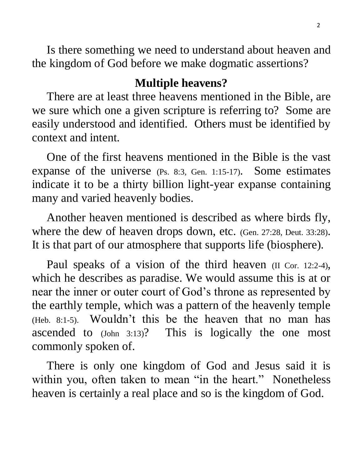Is there something we need to understand about heaven and the kingdom of God before we make dogmatic assertions?

### **Multiple heavens?**

 There are at least three heavens mentioned in the Bible, are we sure which one a given scripture is referring to? Some are easily understood and identified. Others must be identified by context and intent.

 One of the first heavens mentioned in the Bible is the vast expanse of the universe (Ps. 8:3, Gen. 1:15-17). Some estimates indicate it to be a thirty billion light-year expanse containing many and varied heavenly bodies.

 Another heaven mentioned is described as where birds fly, where the dew of heaven drops down, etc. (Gen. 27:28, Deut. 33:28). It is that part of our atmosphere that supports life (biosphere).

Paul speaks of a vision of the third heaven (II Cor. 12:2-4), which he describes as paradise. We would assume this is at or near the inner or outer court of God's throne as represented by the earthly temple, which was a pattern of the heavenly temple (Heb. 8:1-5). Wouldn't this be the heaven that no man has ascended to (John 3:13)? This is logically the one most commonly spoken of.

 There is only one kingdom of God and Jesus said it is within you, often taken to mean "in the heart." Nonetheless heaven is certainly a real place and so is the kingdom of God.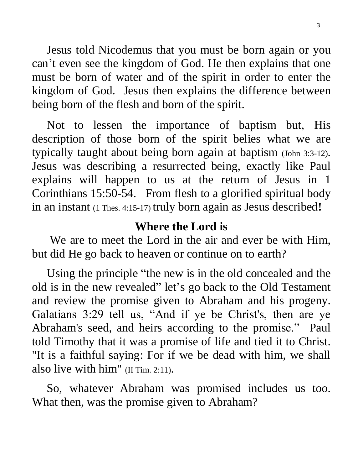Jesus told Nicodemus that you must be born again or you can't even see the kingdom of God. He then explains that one must be born of water and of the spirit in order to enter the kingdom of God. Jesus then explains the difference between being born of the flesh and born of the spirit.

 Not to lessen the importance of baptism but, His description of those born of the spirit belies what we are typically taught about being born again at baptism (John 3:3-12). Jesus was describing a resurrected being, exactly like Paul explains will happen to us at the return of Jesus in 1 Corinthians 15:50-54. From flesh to a glorified spiritual body in an instant (1 Thes. 4:15-17) truly born again as Jesus described**!**

## **Where the Lord is**

 We are to meet the Lord in the air and ever be with Him, but did He go back to heaven or continue on to earth?

 Using the principle "the new is in the old concealed and the old is in the new revealed" let's go back to the Old Testament and review the promise given to Abraham and his progeny. Galatians 3:29 tell us, "And if ye be Christ's, then are ye Abraham's seed, and heirs according to the promise." Paul told Timothy that it was a promise of life and tied it to Christ. "It is a faithful saying: For if we be dead with him, we shall also live with him" (II Tim. 2:11).

 So, whatever Abraham was promised includes us too. What then, was the promise given to Abraham?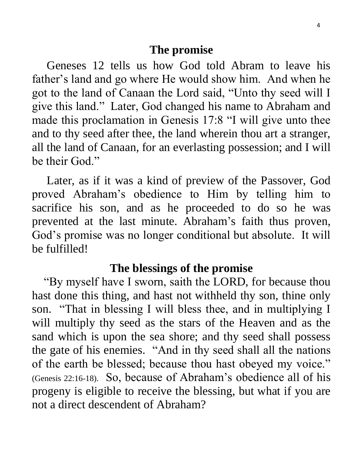Geneses 12 tells us how God told Abram to leave his father's land and go where He would show him. And when he got to the land of Canaan the Lord said, "Unto thy seed will I give this land." Later, God changed his name to Abraham and made this proclamation in Genesis 17:8 "I will give unto thee and to thy seed after thee, the land wherein thou art a stranger, all the land of Canaan, for an everlasting possession; and I will be their God."

 Later, as if it was a kind of preview of the Passover, God proved Abraham's obedience to Him by telling him to sacrifice his son, and as he proceeded to do so he was prevented at the last minute. Abraham's faith thus proven, God's promise was no longer conditional but absolute. It will be fulfilled!

### **The blessings of the promise**

 "By myself have I sworn, saith the LORD, for because thou hast done this thing, and hast not withheld thy son, thine only son. "That in blessing I will bless thee, and in multiplying I will multiply thy seed as the stars of the Heaven and as the sand which is upon the sea shore; and thy seed shall possess the gate of his enemies. "And in thy seed shall all the nations of the earth be blessed; because thou hast obeyed my voice." (Genesis 22:16-18). So, because of Abraham's obedience all of his progeny is eligible to receive the blessing, but what if you are not a direct descendent of Abraham?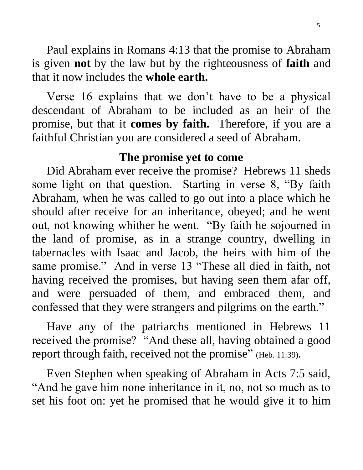Paul explains in Romans 4:13 that the promise to Abraham is given **not** by the law but by the righteousness of **faith** and that it now includes the **whole earth.**

 Verse 16 explains that we don't have to be a physical descendant of Abraham to be included as an heir of the promise, but that it **comes by faith.** Therefore, if you are a faithful Christian you are considered a seed of Abraham.

## **The promise yet to come**

Did Abraham ever receive the promise? Hebrews 11 sheds some light on that question. Starting in verse 8, "By faith Abraham, when he was called to go out into a place which he should after receive for an inheritance, obeyed; and he went out, not knowing whither he went. "By faith he sojourned in the land of promise, as in a strange country, dwelling in tabernacles with Isaac and Jacob, the heirs with him of the same promise." And in verse 13 "These all died in faith, not having received the promises, but having seen them afar off, and were persuaded of them, and embraced them, and confessed that they were strangers and pilgrims on the earth."

 Have any of the patriarchs mentioned in Hebrews 11 received the promise? "And these all, having obtained a good report through faith, received not the promise" (Heb. 11:39).

 Even Stephen when speaking of Abraham in Acts 7:5 said, "And he gave him none inheritance in it, no, not so much as to set his foot on: yet he promised that he would give it to him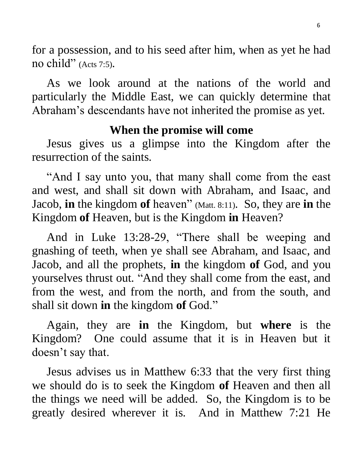for a possession, and to his seed after him, when as yet he had no child" (Acts 7:5).

 As we look around at the nations of the world and particularly the Middle East, we can quickly determine that Abraham's descendants have not inherited the promise as yet.

### **When the promise will come**

 Jesus gives us a glimpse into the Kingdom after the resurrection of the saints.

 "And I say unto you, that many shall come from the east and west, and shall sit down with Abraham, and Isaac, and Jacob, **in** the kingdom **of** heaven" (Matt. 8:11). So, they are **in** the Kingdom **of** Heaven, but is the Kingdom **in** Heaven?

 And in Luke 13:28-29, "There shall be weeping and gnashing of teeth, when ye shall see Abraham, and Isaac, and Jacob, and all the prophets, **in** the kingdom **of** God, and you yourselves thrust out. "And they shall come from the east, and from the west, and from the north, and from the south, and shall sit down **in** the kingdom **of** God."

 Again, they are **in** the Kingdom, but **where** is the Kingdom? One could assume that it is in Heaven but it doesn't say that.

 Jesus advises us in Matthew 6:33 that the very first thing we should do is to seek the Kingdom **of** Heaven and then all the things we need will be added. So, the Kingdom is to be greatly desired wherever it is. And in Matthew 7:21 He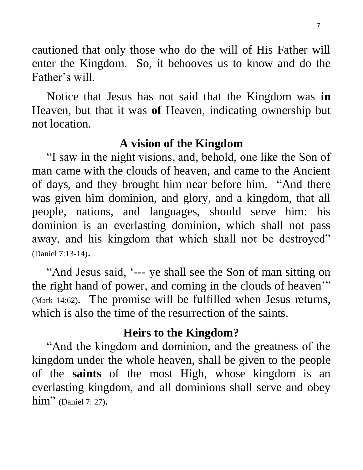cautioned that only those who do the will of His Father will enter the Kingdom. So, it behooves us to know and do the Father's will.

 Notice that Jesus has not said that the Kingdom was **in**  Heaven, but that it was **of** Heaven, indicating ownership but not location.

#### **A vision of the Kingdom**

 "I saw in the night visions, and, behold, one like the Son of man came with the clouds of heaven, and came to the Ancient of days, and they brought him near before him. "And there was given him dominion, and glory, and a kingdom, that all people, nations, and languages, should serve him: his dominion is an everlasting dominion, which shall not pass away, and his kingdom that which shall not be destroyed" (Daniel 7:13-14).

 "And Jesus said, '--- ye shall see the Son of man sitting on the right hand of power, and coming in the clouds of heaven'" (Mark 14:62). The promise will be fulfilled when Jesus returns, which is also the time of the resurrection of the saints.

#### **Heirs to the Kingdom?**

 "And the kingdom and dominion, and the greatness of the kingdom under the whole heaven, shall be given to the people of the **saints** of the most High, whose kingdom is an everlasting kingdom, and all dominions shall serve and obey him" (Daniel 7: 27).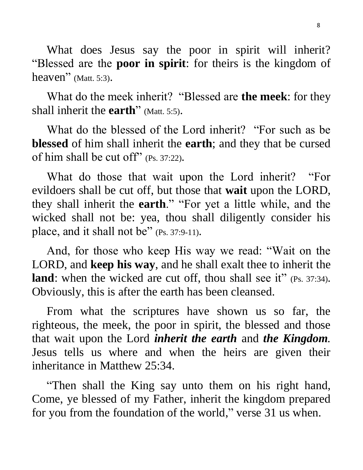What does Jesus say the poor in spirit will inherit? "Blessed are the **poor in spirit**: for theirs is the kingdom of heaven" (Matt. 5:3).

 What do the meek inherit? "Blessed are **the meek**: for they shall inherit the **earth**" (Matt. 5:5).

 What do the blessed of the Lord inherit? "For such as be **blessed** of him shall inherit the **earth**; and they that be cursed of him shall be cut off" (Ps. 37:22).

 What do those that wait upon the Lord inherit? "For evildoers shall be cut off, but those that **wait** upon the LORD, they shall inherit the **earth**." "For yet a little while, and the wicked shall not be: yea, thou shall diligently consider his place, and it shall not be" (Ps. 37:9-11).

 And, for those who keep His way we read: "Wait on the LORD, and **keep his way**, and he shall exalt thee to inherit the **land**: when the wicked are cut off, thou shall see it" (Ps. 37:34). Obviously, this is after the earth has been cleansed.

 From what the scriptures have shown us so far, the righteous, the meek, the poor in spirit, the blessed and those that wait upon the Lord *inherit the earth* and *the Kingdom.*  Jesus tells us where and when the heirs are given their inheritance in Matthew 25:34.

 "Then shall the King say unto them on his right hand, Come, ye blessed of my Father, inherit the kingdom prepared for you from the foundation of the world, " verse 31 us when.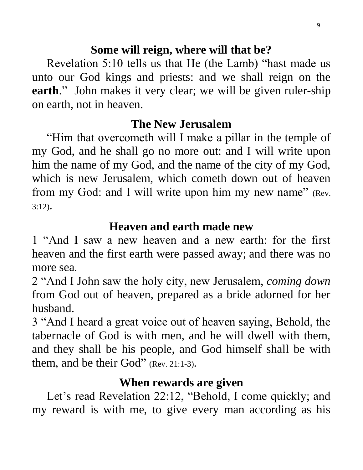## **Some will reign, where will that be?**

 Revelation 5:10 tells us that He (the Lamb) "hast made us unto our God kings and priests: and we shall reign on the **earth**." John makes it very clear; we will be given ruler-ship on earth, not in heaven.

### **The New Jerusalem**

 "Him that overcometh will I make a pillar in the temple of my God, and he shall go no more out: and I will write upon him the name of my God, and the name of the city of my God, which is new Jerusalem, which cometh down out of heaven from my God: and I will write upon him my new name" (Rev.  $3:12$ ).

## **Heaven and earth made new**

1 "And I saw a new heaven and a new earth: for the first heaven and the first earth were passed away; and there was no more sea.

2 "And I John saw the holy city, new Jerusalem, *coming down*  from God out of heaven, prepared as a bride adorned for her husband.

3 "And I heard a great voice out of heaven saying, Behold, the tabernacle of God is with men, and he will dwell with them, and they shall be his people, and God himself shall be with them, and be their God" (Rev. 21:1-3).

# **When rewards are given**

 Let's read Revelation 22:12, "Behold, I come quickly; and my reward is with me, to give every man according as his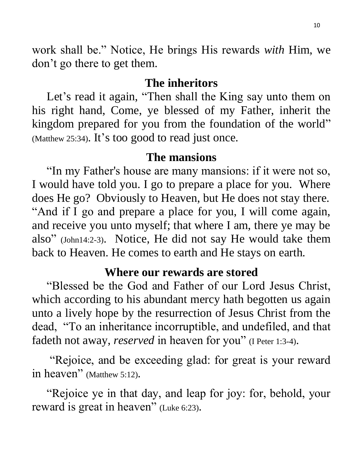work shall be." Notice, He brings His rewards *with* Him, we don't go there to get them.

#### **The inheritors**

Let's read it again, "Then shall the King say unto them on his right hand, Come, ye blessed of my Father, inherit the kingdom prepared for you from the foundation of the world" (Matthew 25:34). It's too good to read just once.

#### **The mansions**

 "In my Father's house are many mansions: if it were not so, I would have told you. I go to prepare a place for you. Where does He go? Obviously to Heaven, but He does not stay there. "And if I go and prepare a place for you, I will come again, and receive you unto myself; that where I am, there ye may be also" (John14:2-3). Notice, He did not say He would take them back to Heaven. He comes to earth and He stays on earth.

### **Where our rewards are stored**

 "Blessed be the God and Father of our Lord Jesus Christ, which according to his abundant mercy hath begotten us again unto a lively hope by the resurrection of Jesus Christ from the dead, "To an inheritance incorruptible, and undefiled, and that fadeth not away, *reserved* in heaven for you" (I Peter 1:3-4).

 "Rejoice, and be exceeding glad: for great is your reward in heaven" (Matthew 5:12).

 "Rejoice ye in that day, and leap for joy: for, behold, your reward is great in heaven" (Luke 6:23).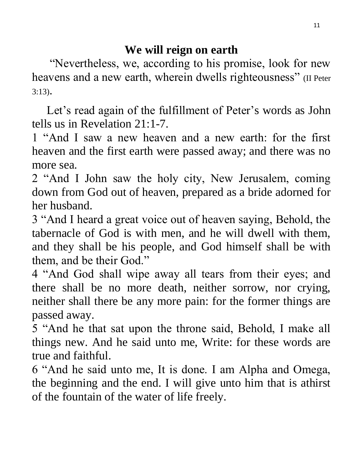"Nevertheless, we, according to his promise, look for new heavens and a new earth, wherein dwells righteousness" (II Peter 3:13).

 Let's read again of the fulfillment of Peter's words as John tells us in Revelation 21:1-7.

1 "And I saw a new heaven and a new earth: for the first heaven and the first earth were passed away; and there was no more sea.

2 "And I John saw the holy city, New Jerusalem, coming down from God out of heaven, prepared as a bride adorned for her husband.

3 "And I heard a great voice out of heaven saying, Behold, the tabernacle of God is with men, and he will dwell with them, and they shall be his people, and God himself shall be with them, and be their God."

4 "And God shall wipe away all tears from their eyes; and there shall be no more death, neither sorrow, nor crying, neither shall there be any more pain: for the former things are passed away.

5 "And he that sat upon the throne said, Behold, I make all things new. And he said unto me, Write: for these words are true and faithful.

6 "And he said unto me, It is done. I am Alpha and Omega, the beginning and the end. I will give unto him that is athirst of the fountain of the water of life freely.